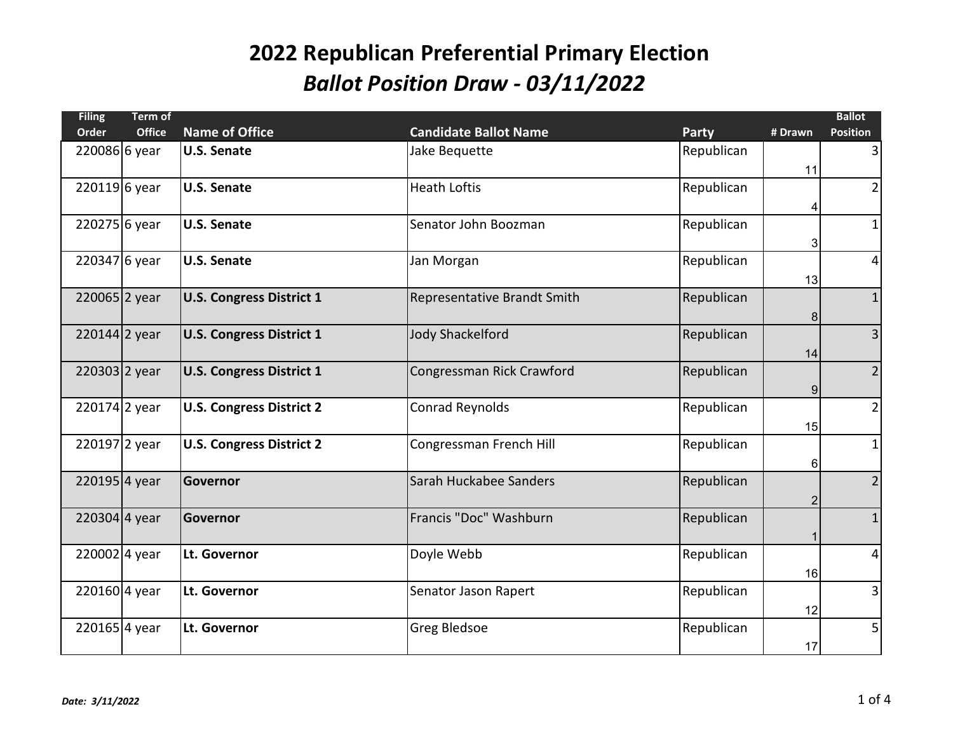| <b>Filing</b>  | <b>Term of</b> |                                 |                              |              |                | <b>Ballot</b>   |
|----------------|----------------|---------------------------------|------------------------------|--------------|----------------|-----------------|
| Order          | <b>Office</b>  | <b>Name of Office</b>           | <b>Candidate Ballot Name</b> | <b>Party</b> | # Drawn        | <b>Position</b> |
| 220086 6 year  |                | <b>U.S. Senate</b>              | Jake Bequette                | Republican   |                | $\overline{3}$  |
|                |                |                                 |                              |              | 11             |                 |
| 220119 6 year  |                | <b>U.S. Senate</b>              | <b>Heath Loftis</b>          | Republican   |                | $\overline{2}$  |
|                |                |                                 |                              |              | 4              |                 |
| 220275 6 year  |                | <b>U.S. Senate</b>              | Senator John Boozman         | Republican   |                | $1\vert$        |
|                |                |                                 |                              |              | 3              |                 |
| $2203476$ year |                | <b>U.S. Senate</b>              | Jan Morgan                   | Republican   |                | $\vert$         |
|                |                |                                 |                              |              | 13             |                 |
| 220065 2 year  |                | <b>U.S. Congress District 1</b> | Representative Brandt Smith  | Republican   |                | $\mathbf{1}$    |
|                |                |                                 |                              |              | 8              |                 |
| 220144 2 year  |                | <b>U.S. Congress District 1</b> | <b>Jody Shackelford</b>      | Republican   |                | $\overline{3}$  |
|                |                |                                 |                              |              | 14             |                 |
| 220303 2 year  |                | <b>U.S. Congress District 1</b> | Congressman Rick Crawford    | Republican   |                | $\overline{2}$  |
|                |                |                                 |                              |              | 9              |                 |
| 220174 2 year  |                | <b>U.S. Congress District 2</b> | <b>Conrad Reynolds</b>       | Republican   |                | $\overline{2}$  |
|                |                |                                 |                              |              | 15             |                 |
| 220197 2 year  |                | <b>U.S. Congress District 2</b> | Congressman French Hill      | Republican   |                | $1\vert$        |
|                |                |                                 |                              |              |                |                 |
| 2201954 year   |                | <b>Governor</b>                 | Sarah Huckabee Sanders       | Republican   | 6              | $\overline{2}$  |
|                |                |                                 |                              |              |                |                 |
| 220304 4 year  |                | Governor                        | Francis "Doc" Washburn       | Republican   | $\overline{2}$ | $\mathbf{1}$    |
|                |                |                                 |                              |              |                |                 |
|                |                |                                 |                              |              | 1              |                 |
| 2200024 year   |                | Lt. Governor                    | Doyle Webb                   | Republican   |                | $\vert 4 \vert$ |
|                |                |                                 |                              |              | 16             |                 |
| 220160 4 year  |                | Lt. Governor                    | Senator Jason Rapert         | Republican   |                | $\overline{3}$  |
|                |                |                                 |                              |              | 12             |                 |
| 220165 4 year  |                | Lt. Governor                    | <b>Greg Bledsoe</b>          | Republican   |                | $\mathsf{S}$    |
|                |                |                                 |                              |              | 17             |                 |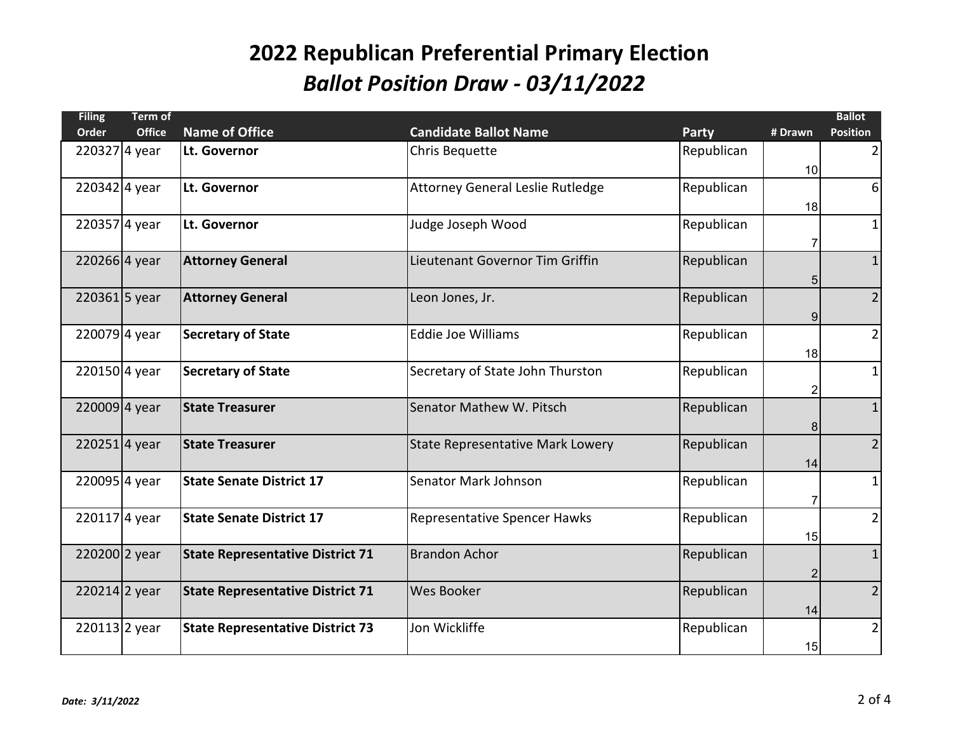| <b>Filing</b> | Term of       |                                         |                                         |              |                | <b>Ballot</b>   |
|---------------|---------------|-----------------------------------------|-----------------------------------------|--------------|----------------|-----------------|
| <b>Order</b>  | <b>Office</b> | <b>Name of Office</b>                   | <b>Candidate Ballot Name</b>            | <b>Party</b> | # Drawn        | <b>Position</b> |
| 220327 4 year |               | Lt. Governor                            | Chris Bequette                          | Republican   |                | $\overline{2}$  |
|               |               |                                         |                                         |              | 10             |                 |
| 2203424 year  |               | Lt. Governor                            | Attorney General Leslie Rutledge        | Republican   |                | $6 \mid$        |
|               |               |                                         |                                         |              |                |                 |
|               |               |                                         |                                         |              | 18             |                 |
| 2203574 year  |               | Lt. Governor                            | Judge Joseph Wood                       | Republican   |                | $1\vert$        |
|               |               |                                         |                                         |              | 7              |                 |
| 220266 4 year |               | <b>Attorney General</b>                 | Lieutenant Governor Tim Griffin         | Republican   |                | $\mathbf{1}$    |
|               |               |                                         |                                         |              | 5              |                 |
| 220361 5 year |               | <b>Attorney General</b>                 | Leon Jones, Jr.                         | Republican   |                | $\overline{2}$  |
|               |               |                                         |                                         |              | 9              |                 |
| 2200794 year  |               | <b>Secretary of State</b>               | <b>Eddie Joe Williams</b>               | Republican   |                | $\overline{2}$  |
|               |               |                                         |                                         |              | 18             |                 |
| 220150 4 year |               | <b>Secretary of State</b>               | Secretary of State John Thurston        | Republican   |                | $1\vert$        |
|               |               |                                         |                                         |              |                |                 |
|               |               |                                         |                                         |              | 2              |                 |
| 220009 4 year |               | <b>State Treasurer</b>                  | Senator Mathew W. Pitsch                | Republican   |                | $\mathbf{1}$    |
|               |               |                                         |                                         |              | 8              |                 |
| 2202514 year  |               | <b>State Treasurer</b>                  | <b>State Representative Mark Lowery</b> | Republican   |                | $\overline{2}$  |
|               |               |                                         |                                         |              | 14             |                 |
| 220095 4 year |               | <b>State Senate District 17</b>         | Senator Mark Johnson                    | Republican   |                | $1\vert$        |
|               |               |                                         |                                         |              | 7              |                 |
| 2201174 year  |               | <b>State Senate District 17</b>         | <b>Representative Spencer Hawks</b>     | Republican   |                | $\overline{2}$  |
|               |               |                                         |                                         |              | 15             |                 |
|               |               |                                         |                                         |              |                |                 |
| 220200 2 year |               | <b>State Representative District 71</b> | <b>Brandon Achor</b>                    | Republican   |                | $\mathbf{1}$    |
|               |               |                                         |                                         |              | $\overline{2}$ |                 |
| 220214 2 year |               | <b>State Representative District 71</b> | <b>Wes Booker</b>                       | Republican   |                | $\overline{2}$  |
|               |               |                                         |                                         |              | 14             |                 |
| 220113 2 year |               | <b>State Representative District 73</b> | Jon Wickliffe                           | Republican   |                | $\overline{2}$  |
|               |               |                                         |                                         |              | 15             |                 |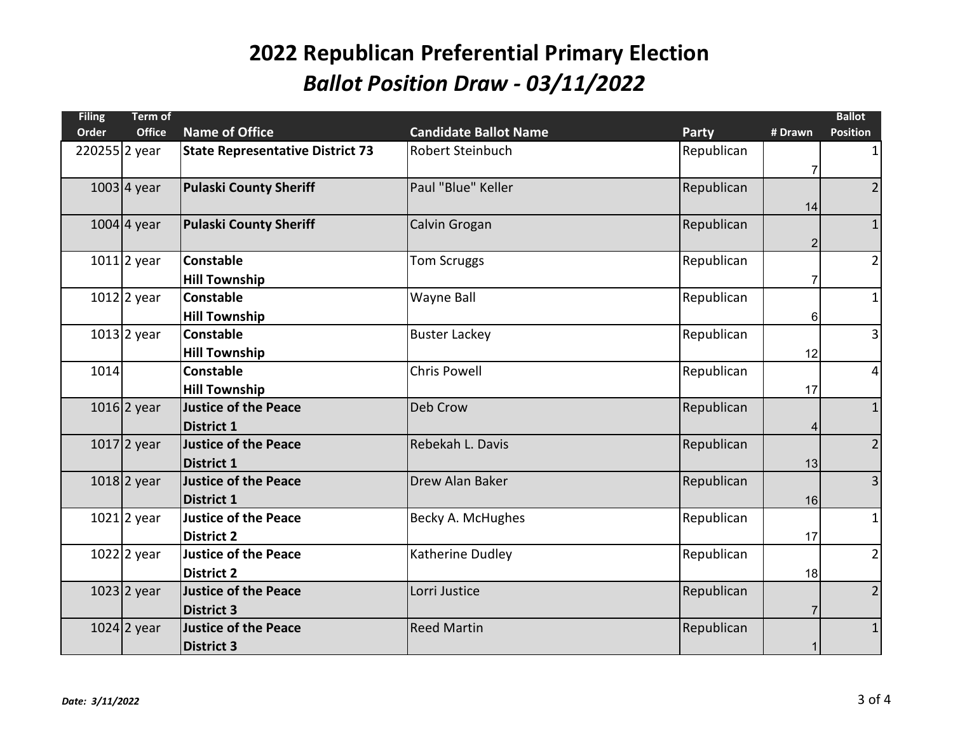| <b>Filing</b> | <b>Term of</b> |                                         |                              |              |             | <b>Ballot</b>   |
|---------------|----------------|-----------------------------------------|------------------------------|--------------|-------------|-----------------|
| <b>Order</b>  | <b>Office</b>  | <b>Name of Office</b>                   | <b>Candidate Ballot Name</b> | <b>Party</b> | # Drawn     | <b>Position</b> |
| 220255 2 year |                | <b>State Representative District 73</b> | Robert Steinbuch             | Republican   |             | $\mathbf{1}$    |
|               |                |                                         |                              |              | 7           |                 |
|               | $1003$ 4 year  | <b>Pulaski County Sheriff</b>           | Paul "Blue" Keller           | Republican   |             | $\overline{2}$  |
|               |                |                                         |                              |              | 14          |                 |
|               | $1004$ 4 year  | <b>Pulaski County Sheriff</b>           | Calvin Grogan                | Republican   |             | $\mathbf{1}$    |
|               |                |                                         |                              |              | 2           |                 |
|               | $1011$ 2 year  | <b>Constable</b>                        | <b>Tom Scruggs</b>           | Republican   |             | $\overline{2}$  |
|               |                | <b>Hill Township</b>                    |                              |              | 7           |                 |
|               | $1012$ 2 year  | <b>Constable</b>                        | Wayne Ball                   | Republican   |             | $1\vert$        |
|               |                | <b>Hill Township</b>                    |                              |              | 6           |                 |
|               | $1013$ 2 year  | <b>Constable</b>                        | <b>Buster Lackey</b>         | Republican   |             | $\overline{3}$  |
|               |                | <b>Hill Township</b>                    |                              |              | 12          |                 |
| 1014          |                | <b>Constable</b>                        | <b>Chris Powell</b>          | Republican   |             | $\vert$         |
|               |                | <b>Hill Township</b>                    |                              |              | 17          |                 |
|               | $1016$ 2 year  | <b>Justice of the Peace</b>             | Deb Crow                     | Republican   |             | $\mathbf 1$     |
|               |                | <b>District 1</b>                       |                              |              | 4           |                 |
|               | $1017$ 2 year  | <b>Justice of the Peace</b>             | Rebekah L. Davis             | Republican   |             | $\overline{2}$  |
|               |                | <b>District 1</b>                       |                              |              | 13          |                 |
|               | $1018$  2 year | <b>Justice of the Peace</b>             | Drew Alan Baker              | Republican   |             | $\overline{3}$  |
|               |                | <b>District 1</b>                       |                              |              | 16          |                 |
|               | $1021$ 2 year  | <b>Justice of the Peace</b>             | Becky A. McHughes            | Republican   |             | $\mathbf{1}$    |
|               |                | <b>District 2</b>                       |                              |              | 17          |                 |
|               | $1022$ 2 year  | <b>Justice of the Peace</b>             | Katherine Dudley             | Republican   |             | $\overline{2}$  |
|               |                | <b>District 2</b>                       |                              |              | 18          |                 |
|               | 1023 2 year    | <b>Justice of the Peace</b>             | Lorri Justice                | Republican   |             | $\overline{2}$  |
|               |                | <b>District 3</b>                       |                              |              | 7           |                 |
|               | $1024$ 2 year  | <b>Justice of the Peace</b>             | <b>Reed Martin</b>           | Republican   |             | $\mathbf{1}$    |
|               |                | <b>District 3</b>                       |                              |              | $\mathbf 1$ |                 |